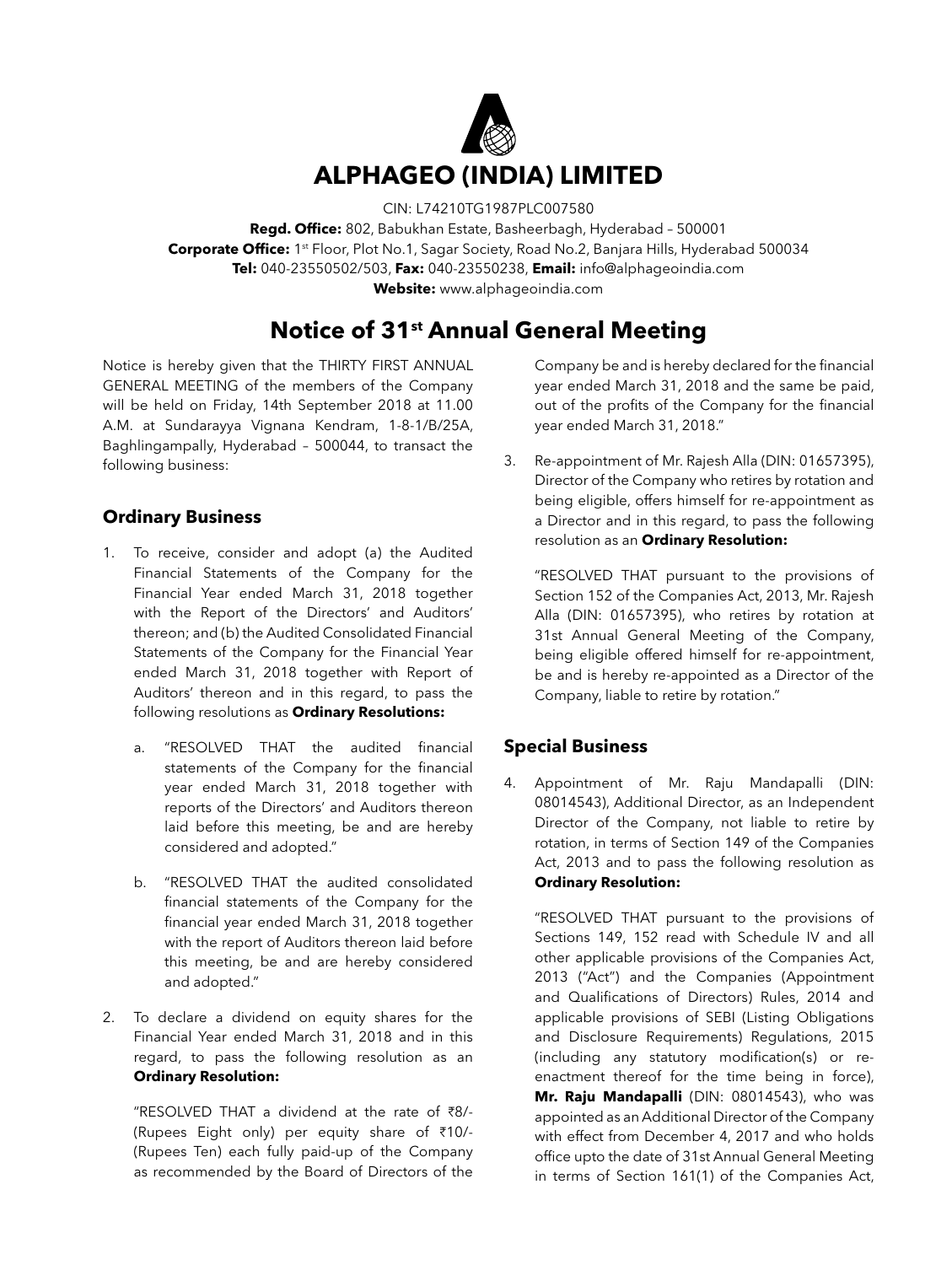

CIN: L74210TG1987PLC007580

**Regd. Office:** 802, Babukhan Estate, Basheerbagh, Hyderabad – 500001 Corporate Office: 1<sup>st</sup> Floor, Plot No.1, Sagar Society, Road No.2, Banjara Hills, Hyderabad 500034 **Tel:** 040-23550502/503, **Fax:** 040-23550238, **Email:** info@alphageoindia.com **Website:** www.alphageoindia.com

**Notice of 31st Annual General Meeting**

Notice is hereby given that the THIRTY FIRST ANNUAL GENERAL MEETING of the members of the Company will be held on Friday, 14th September 2018 at 11.00 A.M. at Sundarayya Vignana Kendram, 1-8-1/B/25A, Baghlingampally, Hyderabad – 500044, to transact the following business:

# **Ordinary Business**

- 1. To receive, consider and adopt (a) the Audited Financial Statements of the Company for the Financial Year ended March 31, 2018 together with the Report of the Directors' and Auditors' thereon; and (b) the Audited Consolidated Financial Statements of the Company for the Financial Year ended March 31, 2018 together with Report of Auditors' thereon and in this regard, to pass the following resolutions as **Ordinary Resolutions:**
	- a. "RESOLVED THAT the audited financial statements of the Company for the financial year ended March 31, 2018 together with reports of the Directors' and Auditors thereon laid before this meeting, be and are hereby considered and adopted."
	- b. "RESOLVED THAT the audited consolidated financial statements of the Company for the financial year ended March 31, 2018 together with the report of Auditors thereon laid before this meeting, be and are hereby considered and adopted."
- 2. To declare a dividend on equity shares for the Financial Year ended March 31, 2018 and in this regard, to pass the following resolution as an **Ordinary Resolution:**

"RESOLVED THAT a dividend at the rate of  $\bar{z}8/2$ -(Rupees Eight only) per equity share of  $\overline{510/-}$ (Rupees Ten) each fully paid-up of the Company as recommended by the Board of Directors of the

Company be and is hereby declared for the financial year ended March 31, 2018 and the same be paid, out of the profits of the Company for the financial year ended March 31, 2018."

3. Re-appointment of Mr. Rajesh Alla (DIN: 01657395), Director of the Company who retires by rotation and being eligible, offers himself for re-appointment as a Director and in this regard, to pass the following resolution as an **Ordinary Resolution:**

"RESOLVED THAT pursuant to the provisions of Section 152 of the Companies Act, 2013, Mr. Rajesh Alla (DIN: 01657395), who retires by rotation at 31st Annual General Meeting of the Company, being eligible offered himself for re-appointment, be and is hereby re-appointed as a Director of the Company, liable to retire by rotation."

## **Special Business**

4. Appointment of Mr. Raju Mandapalli (DIN: 08014543), Additional Director, as an Independent Director of the Company, not liable to retire by rotation, in terms of Section 149 of the Companies Act, 2013 and to pass the following resolution as **Ordinary Resolution:**

"RESOLVED THAT pursuant to the provisions of Sections 149, 152 read with Schedule IV and all other applicable provisions of the Companies Act, 2013 ("Act") and the Companies (Appointment and Qualifications of Directors) Rules, 2014 and applicable provisions of SEBI (Listing Obligations and Disclosure Requirements) Regulations, 2015 (including any statutory modification(s) or reenactment thereof for the time being in force), **Mr. Raju Mandapalli** (DIN: 08014543), who was appointed as an Additional Director of the Company with effect from December 4, 2017 and who holds office upto the date of 31st Annual General Meeting in terms of Section 161(1) of the Companies Act,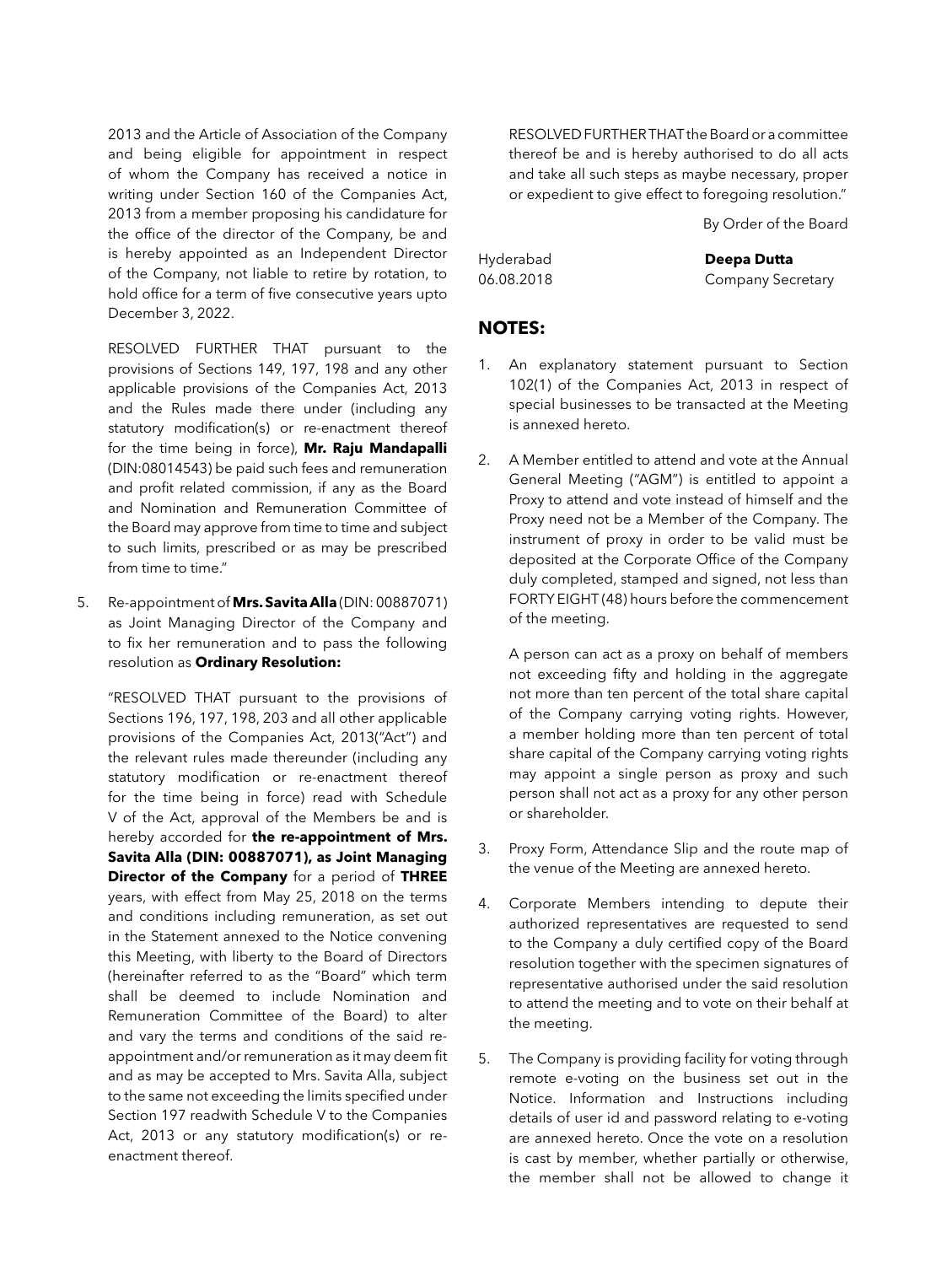2013 and the Article of Association of the Company and being eligible for appointment in respect of whom the Company has received a notice in writing under Section 160 of the Companies Act, 2013 from a member proposing his candidature for the office of the director of the Company, be and is hereby appointed as an Independent Director of the Company, not liable to retire by rotation, to hold office for a term of five consecutive years upto December 3, 2022.

RESOLVED FURTHER THAT pursuant to the provisions of Sections 149, 197, 198 and any other applicable provisions of the Companies Act, 2013 and the Rules made there under (including any statutory modification(s) or re-enactment thereof for the time being in force), **Mr. Raju Mandapalli** (DIN:08014543) be paid such fees and remuneration and profit related commission, if any as the Board and Nomination and Remuneration Committee of the Board may approve from time to time and subject to such limits, prescribed or as may be prescribed from time to time."

5. Re-appointment of **Mrs. Savita Alla** (DIN: 00887071) as Joint Managing Director of the Company and to fix her remuneration and to pass the following resolution as **Ordinary Resolution:**

"RESOLVED THAT pursuant to the provisions of Sections 196, 197, 198, 203 and all other applicable provisions of the Companies Act, 2013("Act") and the relevant rules made thereunder (including any statutory modification or re-enactment thereof for the time being in force) read with Schedule V of the Act, approval of the Members be and is hereby accorded for **the re-appointment of Mrs. Savita Alla (DIN: 00887071), as Joint Managing Director of the Company** for a period of **THREE** years, with effect from May 25, 2018 on the terms and conditions including remuneration, as set out in the Statement annexed to the Notice convening this Meeting, with liberty to the Board of Directors (hereinafter referred to as the "Board" which term shall be deemed to include Nomination and Remuneration Committee of the Board) to alter and vary the terms and conditions of the said reappointment and/or remuneration as it may deem fit and as may be accepted to Mrs. Savita Alla, subject to the same not exceeding the limits specified under Section 197 readwith Schedule V to the Companies Act, 2013 or any statutory modification(s) or reenactment thereof.

RESOLVED FURTHER THAT the Board or a committee thereof be and is hereby authorised to do all acts and take all such steps as maybe necessary, proper or expedient to give effect to foregoing resolution."

By Order of the Board

Hyderabad **Deepa Dutta**

06.08.2018 Company Secretary

## **NOTES:**

- 1. An explanatory statement pursuant to Section 102(1) of the Companies Act, 2013 in respect of special businesses to be transacted at the Meeting is annexed hereto.
- 2. A Member entitled to attend and vote at the Annual General Meeting ("AGM") is entitled to appoint a Proxy to attend and vote instead of himself and the Proxy need not be a Member of the Company. The instrument of proxy in order to be valid must be deposited at the Corporate Office of the Company duly completed, stamped and signed, not less than FORTY EIGHT (48) hours before the commencement of the meeting.

A person can act as a proxy on behalf of members not exceeding fifty and holding in the aggregate not more than ten percent of the total share capital of the Company carrying voting rights. However, a member holding more than ten percent of total share capital of the Company carrying voting rights may appoint a single person as proxy and such person shall not act as a proxy for any other person or shareholder.

- 3. Proxy Form, Attendance Slip and the route map of the venue of the Meeting are annexed hereto.
- 4. Corporate Members intending to depute their authorized representatives are requested to send to the Company a duly certified copy of the Board resolution together with the specimen signatures of representative authorised under the said resolution to attend the meeting and to vote on their behalf at the meeting.
- 5. The Company is providing facility for voting through remote e-voting on the business set out in the Notice. Information and Instructions including details of user id and password relating to e-voting are annexed hereto. Once the vote on a resolution is cast by member, whether partially or otherwise, the member shall not be allowed to change it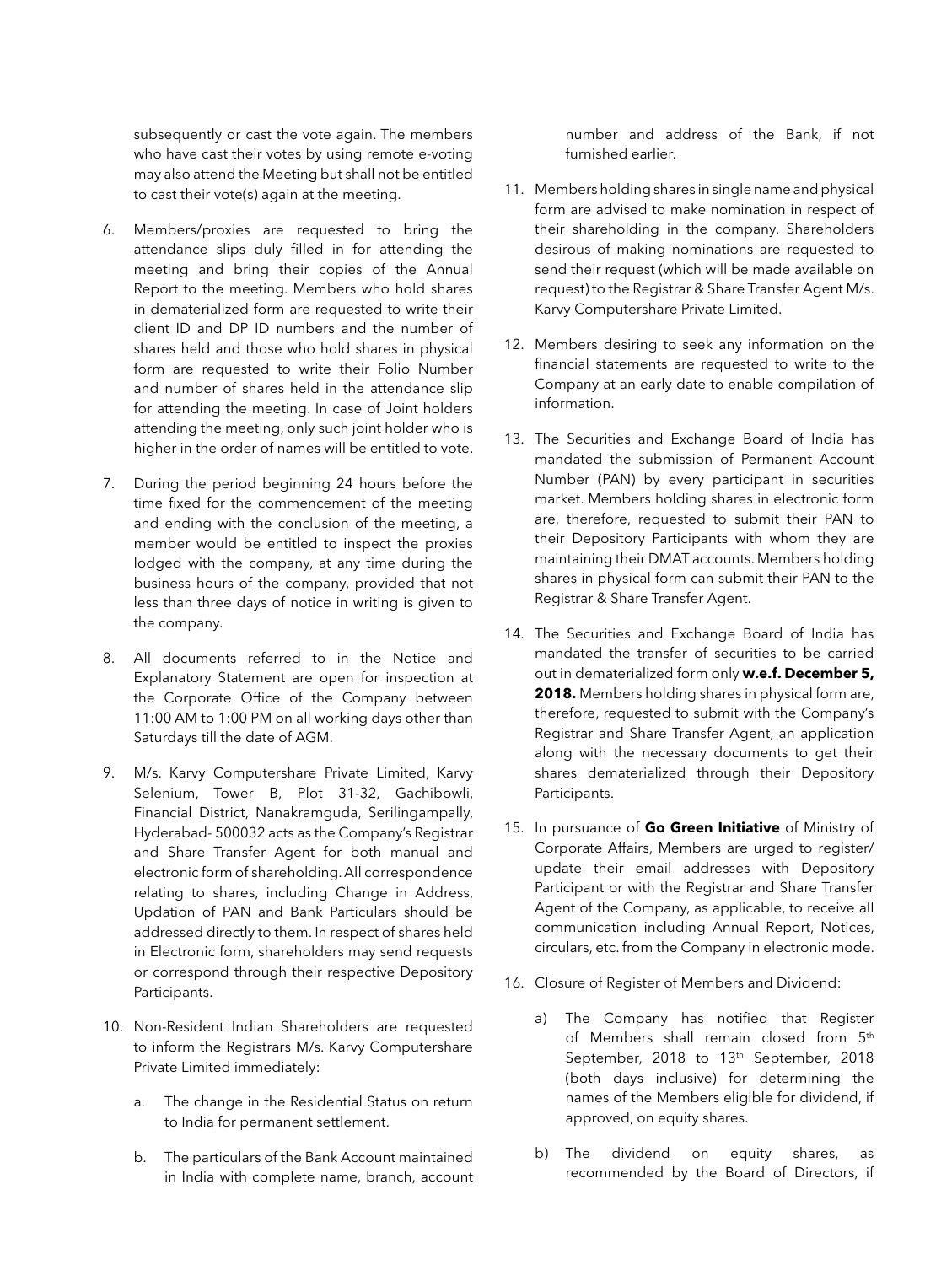subsequently or cast the vote again. The members who have cast their votes by using remote e-voting may also attend the Meeting but shall not be entitled to cast their vote(s) again at the meeting.

- 6. Members/proxies are requested to bring the attendance slips duly filled in for attending the meeting and bring their copies of the Annual Report to the meeting. Members who hold shares in dematerialized form are requested to write their client ID and DP ID numbers and the number of shares held and those who hold shares in physical form are requested to write their Folio Number and number of shares held in the attendance slip for attending the meeting. In case of Joint holders attending the meeting, only such joint holder who is higher in the order of names will be entitled to vote.
- 7. During the period beginning 24 hours before the time fixed for the commencement of the meeting and ending with the conclusion of the meeting, a member would be entitled to inspect the proxies lodged with the company, at any time during the business hours of the company, provided that not less than three days of notice in writing is given to the company.
- 8. All documents referred to in the Notice and Explanatory Statement are open for inspection at the Corporate Office of the Company between 11:00 AM to 1:00 PM on all working days other than Saturdays till the date of AGM.
- 9. M/s. Karvy Computershare Private Limited, Karvy Selenium, Tower B, Plot 31-32, Gachibowli, Financial District, Nanakramguda, Serilingampally, Hyderabad- 500032 acts as the Company's Registrar and Share Transfer Agent for both manual and electronic form of shareholding. All correspondence relating to shares, including Change in Address, Updation of PAN and Bank Particulars should be addressed directly to them. In respect of shares held in Electronic form, shareholders may send requests or correspond through their respective Depository Participants.
- 10. Non-Resident Indian Shareholders are requested to inform the Registrars M/s. Karvy Computershare Private Limited immediately:
	- a. The change in the Residential Status on return to India for permanent settlement.
	- b. The particulars of the Bank Account maintained in India with complete name, branch, account

number and address of the Bank, if not furnished earlier.

- 11. Members holding shares in single name and physical form are advised to make nomination in respect of their shareholding in the company. Shareholders desirous of making nominations are requested to send their request (which will be made available on request) to the Registrar & Share Transfer Agent M/s. Karvy Computershare Private Limited.
- 12. Members desiring to seek any information on the financial statements are requested to write to the Company at an early date to enable compilation of information.
- 13. The Securities and Exchange Board of India has mandated the submission of Permanent Account Number (PAN) by every participant in securities market. Members holding shares in electronic form are, therefore, requested to submit their PAN to their Depository Participants with whom they are maintaining their DMAT accounts. Members holding shares in physical form can submit their PAN to the Registrar & Share Transfer Agent.
- 14. The Securities and Exchange Board of India has mandated the transfer of securities to be carried out in dematerialized form only **w.e.f. December 5, 2018.** Members holding shares in physical form are, therefore, requested to submit with the Company's Registrar and Share Transfer Agent, an application along with the necessary documents to get their shares dematerialized through their Depository Participants.
- 15. In pursuance of **Go Green Initiative** of Ministry of Corporate Affairs, Members are urged to register/ update their email addresses with Depository Participant or with the Registrar and Share Transfer Agent of the Company, as applicable, to receive all communication including Annual Report, Notices, circulars, etc. from the Company in electronic mode.
- 16. Closure of Register of Members and Dividend:
	- a) The Company has notified that Register of Members shall remain closed from 5<sup>th</sup> September, 2018 to 13<sup>th</sup> September, 2018 (both days inclusive) for determining the names of the Members eligible for dividend, if approved, on equity shares.
	- b) The dividend on equity shares, as recommended by the Board of Directors, if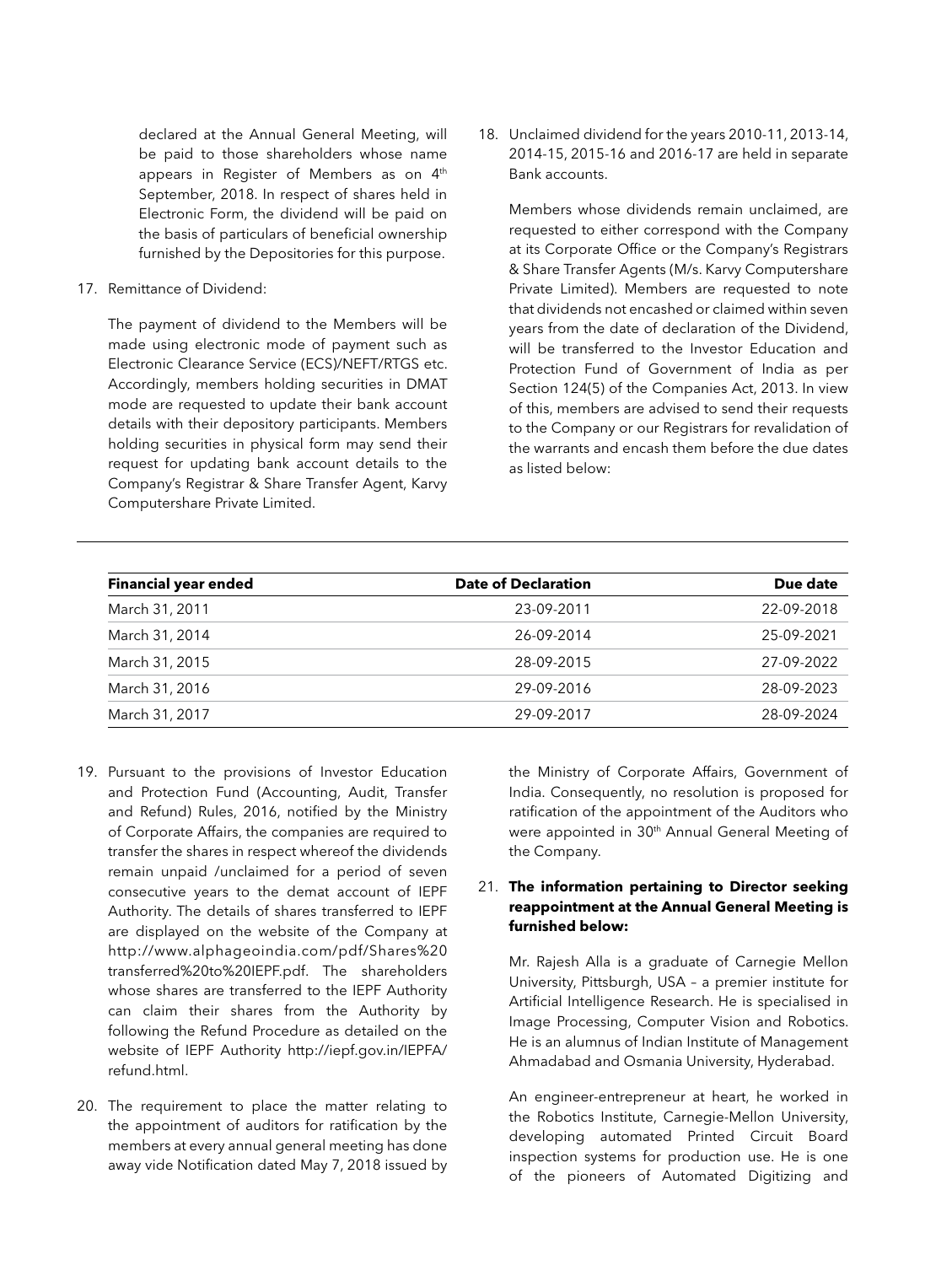declared at the Annual General Meeting, will be paid to those shareholders whose name appears in Register of Members as on  $4<sup>th</sup>$ September, 2018. In respect of shares held in Electronic Form, the dividend will be paid on the basis of particulars of beneficial ownership furnished by the Depositories for this purpose.

17. Remittance of Dividend:

The payment of dividend to the Members will be made using electronic mode of payment such as Electronic Clearance Service (ECS)/NEFT/RTGS etc. Accordingly, members holding securities in DMAT mode are requested to update their bank account details with their depository participants. Members holding securities in physical form may send their request for updating bank account details to the Company's Registrar & Share Transfer Agent, Karvy Computershare Private Limited.

18. Unclaimed dividend for the years 2010-11, 2013-14, 2014-15, 2015-16 and 2016-17 are held in separate Bank accounts.

Members whose dividends remain unclaimed, are requested to either correspond with the Company at its Corporate Office or the Company's Registrars & Share Transfer Agents (M/s. Karvy Computershare Private Limited). Members are requested to note that dividends not encashed or claimed within seven years from the date of declaration of the Dividend, will be transferred to the Investor Education and Protection Fund of Government of India as per Section 124(5) of the Companies Act, 2013. In view of this, members are advised to send their requests to the Company or our Registrars for revalidation of the warrants and encash them before the due dates as listed below:

| <b>Financial year ended</b> | <b>Date of Declaration</b> | Due date   |
|-----------------------------|----------------------------|------------|
| March 31, 2011              | 23-09-2011                 | 22-09-2018 |
| March 31, 2014              | 26-09-2014                 | 25-09-2021 |
| March 31, 2015              | 28-09-2015                 | 27-09-2022 |
| March 31, 2016              | 29-09-2016                 | 28-09-2023 |
| March 31, 2017              | 29-09-2017                 | 28-09-2024 |

- 19. Pursuant to the provisions of Investor Education and Protection Fund (Accounting, Audit, Transfer and Refund) Rules, 2016, notified by the Ministry of Corporate Affairs, the companies are required to transfer the shares in respect whereof the dividends remain unpaid /unclaimed for a period of seven consecutive years to the demat account of IEPF Authority. The details of shares transferred to IEPF are displayed on the website of the Company at http://www.alphageoindia.com/pdf/Shares%20 transferred%20to%20IEPF.pdf. The shareholders whose shares are transferred to the IEPF Authority can claim their shares from the Authority by following the Refund Procedure as detailed on the website of IEPF Authority http://iepf.gov.in/IEPFA/ refund.html.
- 20. The requirement to place the matter relating to the appointment of auditors for ratification by the members at every annual general meeting has done away vide Notification dated May 7, 2018 issued by

the Ministry of Corporate Affairs, Government of India. Consequently, no resolution is proposed for ratification of the appointment of the Auditors who were appointed in 30<sup>th</sup> Annual General Meeting of the Company.

## 21. **The information pertaining to Director seeking reappointment at the Annual General Meeting is furnished below:**

Mr. Rajesh Alla is a graduate of Carnegie Mellon University, Pittsburgh, USA – a premier institute for Artificial Intelligence Research. He is specialised in Image Processing, Computer Vision and Robotics. He is an alumnus of Indian Institute of Management Ahmadabad and Osmania University, Hyderabad.

An engineer-entrepreneur at heart, he worked in the Robotics Institute, Carnegie-Mellon University, developing automated Printed Circuit Board inspection systems for production use. He is one of the pioneers of Automated Digitizing and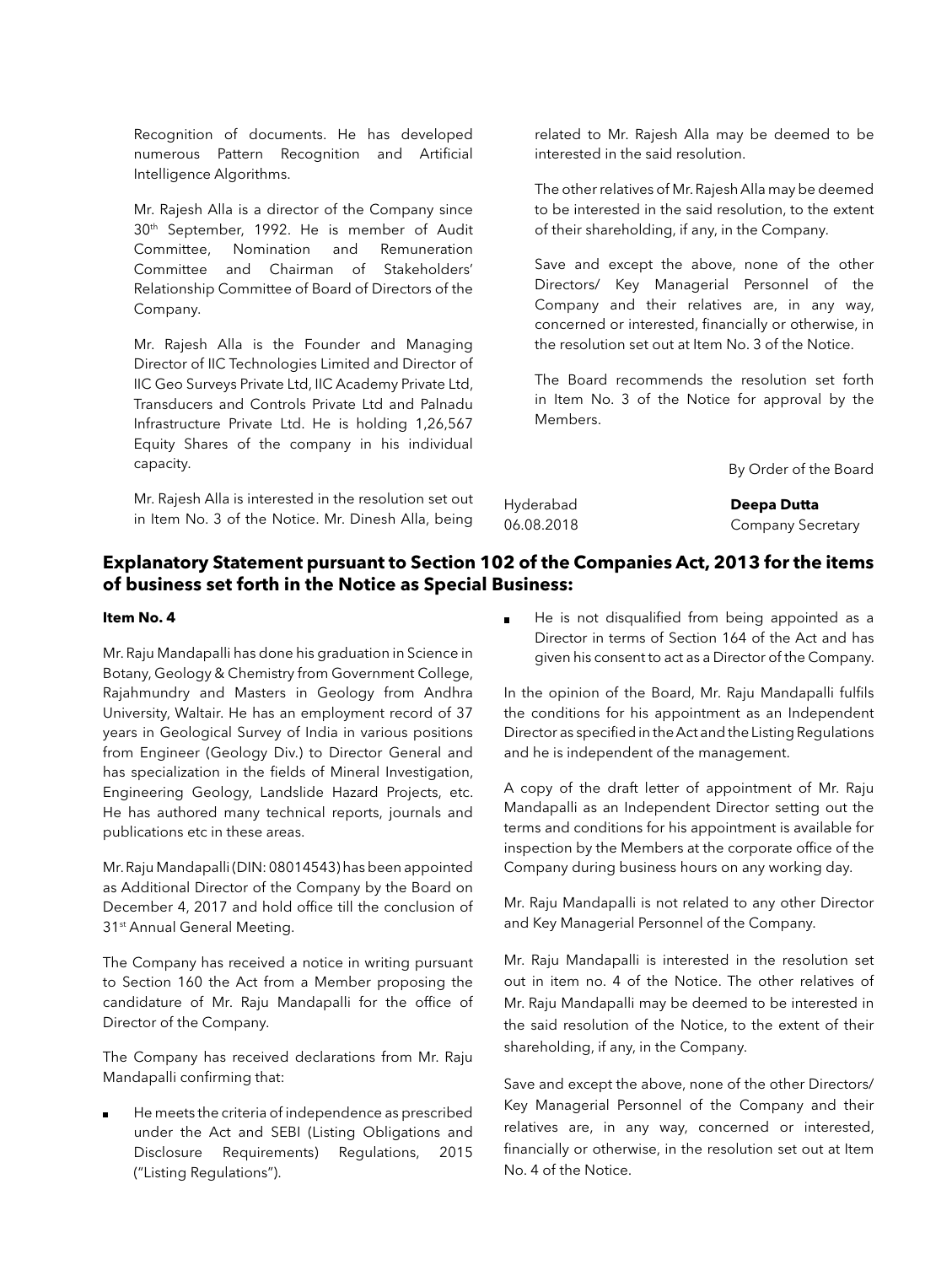Recognition of documents. He has developed numerous Pattern Recognition and Artificial Intelligence Algorithms.

Mr. Rajesh Alla is a director of the Company since 30th September, 1992. He is member of Audit Committee, Nomination and Remuneration Committee and Chairman of Stakeholders' Relationship Committee of Board of Directors of the Company.

Mr. Rajesh Alla is the Founder and Managing Director of IIC Technologies Limited and Director of IIC Geo Surveys Private Ltd, IIC Academy Private Ltd, Transducers and Controls Private Ltd and Palnadu Infrastructure Private Ltd. He is holding 1,26,567 Equity Shares of the company in his individual capacity.

Mr. Rajesh Alla is interested in the resolution set out in Item No. 3 of the Notice. Mr. Dinesh Alla, being

related to Mr. Rajesh Alla may be deemed to be interested in the said resolution.

The other relatives of Mr. Rajesh Alla may be deemed to be interested in the said resolution, to the extent of their shareholding, if any, in the Company.

Save and except the above, none of the other Directors/ Key Managerial Personnel of the Company and their relatives are, in any way, concerned or interested, financially or otherwise, in the resolution set out at Item No. 3 of the Notice.

The Board recommends the resolution set forth in Item No. 3 of the Notice for approval by the Members.

By Order of the Board

Hyderabad **Deepa Dutta** 06.08.2018 Company Secretary

## **Explanatory Statement pursuant to Section 102 of the Companies Act, 2013 for the items of business set forth in the Notice as Special Business:**

#### **Item No. 4**

Mr. Raju Mandapalli has done his graduation in Science in Botany, Geology & Chemistry from Government College, Rajahmundry and Masters in Geology from Andhra University, Waltair. He has an employment record of 37 years in Geological Survey of India in various positions from Engineer (Geology Div.) to Director General and has specialization in the fields of Mineral Investigation, Engineering Geology, Landslide Hazard Projects, etc. He has authored many technical reports, journals and publications etc in these areas.

Mr. Raju Mandapalli (DIN: 08014543) has been appointed as Additional Director of the Company by the Board on December 4, 2017 and hold office till the conclusion of 31<sup>st</sup> Annual General Meeting.

The Company has received a notice in writing pursuant to Section 160 the Act from a Member proposing the candidature of Mr. Raju Mandapalli for the office of Director of the Company.

The Company has received declarations from Mr. Raju Mandapalli confirming that:

He meets the criteria of independence as prescribed under the Act and SEBI (Listing Obligations and Disclosure Requirements) Regulations, 2015 ("Listing Regulations").

He is not disqualified from being appointed as a Director in terms of Section 164 of the Act and has given his consent to act as a Director of the Company.

In the opinion of the Board, Mr. Raju Mandapalli fulfils the conditions for his appointment as an Independent Director as specified in the Act and the Listing Regulations and he is independent of the management.

A copy of the draft letter of appointment of Mr. Raju Mandapalli as an Independent Director setting out the terms and conditions for his appointment is available for inspection by the Members at the corporate office of the Company during business hours on any working day.

Mr. Raju Mandapalli is not related to any other Director and Key Managerial Personnel of the Company.

Mr. Raju Mandapalli is interested in the resolution set out in item no. 4 of the Notice. The other relatives of Mr. Raju Mandapalli may be deemed to be interested in the said resolution of the Notice, to the extent of their shareholding, if any, in the Company.

Save and except the above, none of the other Directors/ Key Managerial Personnel of the Company and their relatives are, in any way, concerned or interested, financially or otherwise, in the resolution set out at Item No. 4 of the Notice.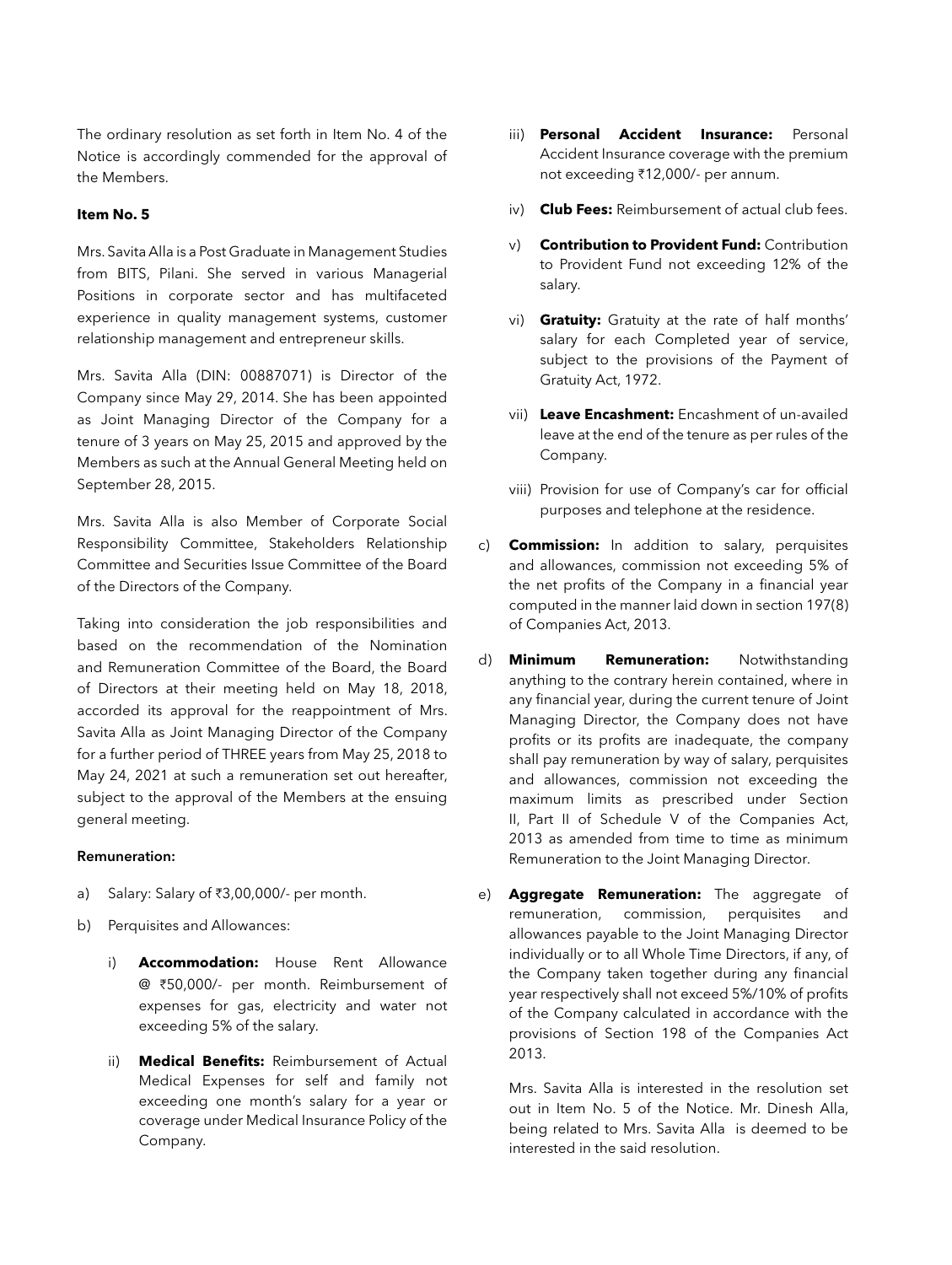The ordinary resolution as set forth in Item No. 4 of the Notice is accordingly commended for the approval of the Members.

#### **Item No. 5**

Mrs. Savita Alla is a Post Graduate in Management Studies from BITS, Pilani. She served in various Managerial Positions in corporate sector and has multifaceted experience in quality management systems, customer relationship management and entrepreneur skills.

Mrs. Savita Alla (DIN: 00887071) is Director of the Company since May 29, 2014. She has been appointed as Joint Managing Director of the Company for a tenure of 3 years on May 25, 2015 and approved by the Members as such at the Annual General Meeting held on September 28, 2015.

Mrs. Savita Alla is also Member of Corporate Social Responsibility Committee, Stakeholders Relationship Committee and Securities Issue Committee of the Board of the Directors of the Company.

Taking into consideration the job responsibilities and based on the recommendation of the Nomination and Remuneration Committee of the Board, the Board of Directors at their meeting held on May 18, 2018, accorded its approval for the reappointment of Mrs. Savita Alla as Joint Managing Director of the Company for a further period of THREE years from May 25, 2018 to May 24, 2021 at such a remuneration set out hereafter, subject to the approval of the Members at the ensuing general meeting.

#### Remuneration:

- a) Salary: Salary of  $\overline{\epsilon}3,00,000/2$  per month.
- b) Perquisites and Allowances:
	- i) **Accommodation:** House Rent Allowance @ H50,000/- per month. Reimbursement of expenses for gas, electricity and water not exceeding 5% of the salary.
	- ii) **Medical Benefits:** Reimbursement of Actual Medical Expenses for self and family not exceeding one month's salary for a year or coverage under Medical Insurance Policy of the Company.
- iii) **Personal Accident Insurance:** Personal Accident Insurance coverage with the premium not exceeding ₹12,000/- per annum.
- iv) **Club Fees:** Reimbursement of actual club fees.
- v) **Contribution to Provident Fund:** Contribution to Provident Fund not exceeding 12% of the salary.
- vi) **Gratuity:** Gratuity at the rate of half months' salary for each Completed year of service, subject to the provisions of the Payment of Gratuity Act, 1972.
- vii) **Leave Encashment:** Encashment of un-availed leave at the end of the tenure as per rules of the Company.
- viii) Provision for use of Company's car for official purposes and telephone at the residence.
- c) **Commission:** In addition to salary, perquisites and allowances, commission not exceeding 5% of the net profits of the Company in a financial year computed in the manner laid down in section 197(8) of Companies Act, 2013.
- d) **Minimum Remuneration:** Notwithstanding anything to the contrary herein contained, where in any financial year, during the current tenure of Joint Managing Director, the Company does not have profits or its profits are inadequate, the company shall pay remuneration by way of salary, perquisites and allowances, commission not exceeding the maximum limits as prescribed under Section II, Part II of Schedule V of the Companies Act, 2013 as amended from time to time as minimum Remuneration to the Joint Managing Director.
- e) **Aggregate Remuneration:** The aggregate of remuneration, commission, perquisites and allowances payable to the Joint Managing Director individually or to all Whole Time Directors, if any, of the Company taken together during any financial year respectively shall not exceed 5%/10% of profits of the Company calculated in accordance with the provisions of Section 198 of the Companies Act 2013.

Mrs. Savita Alla is interested in the resolution set out in Item No. 5 of the Notice. Mr. Dinesh Alla, being related to Mrs. Savita Alla is deemed to be interested in the said resolution.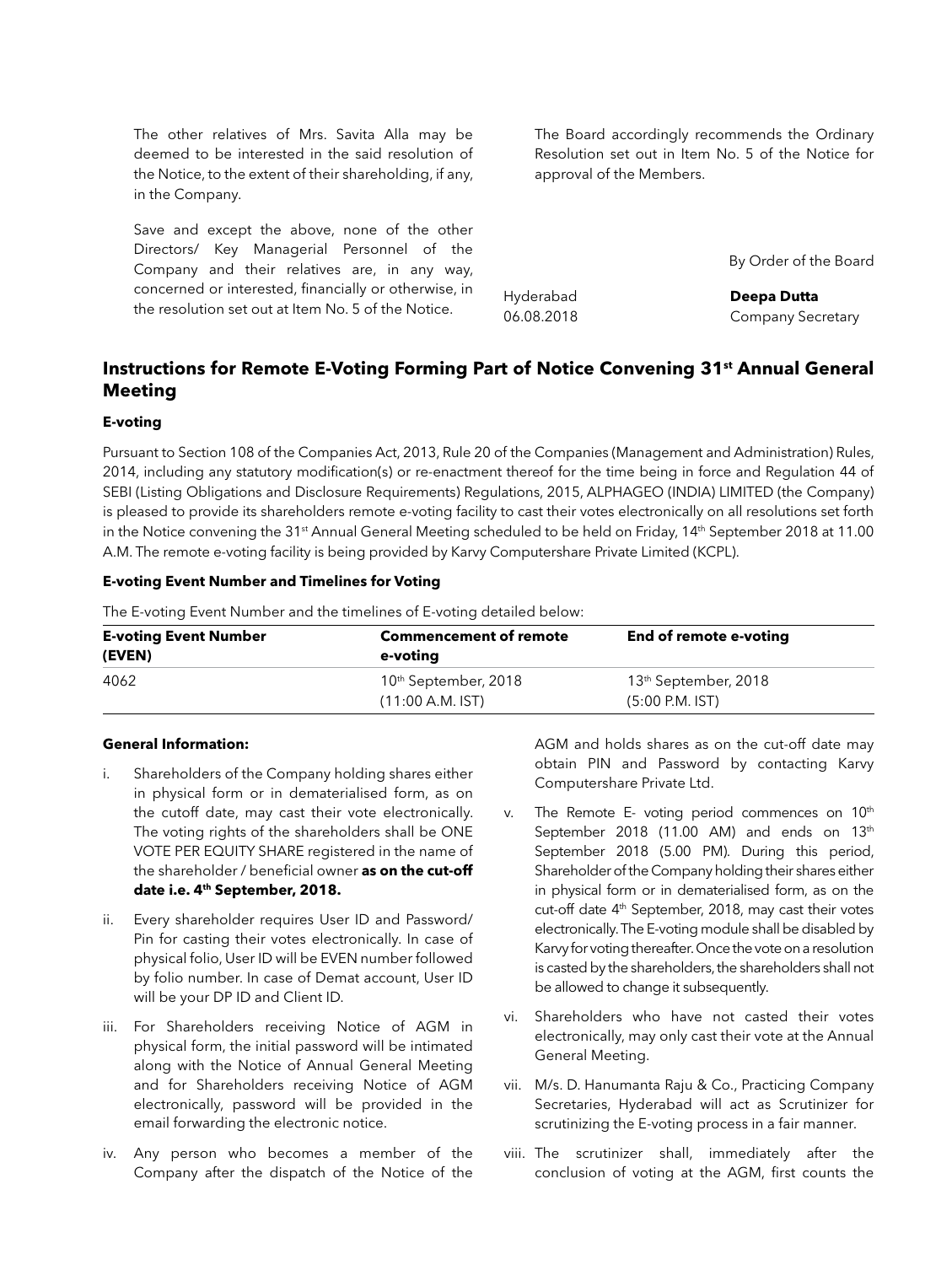The other relatives of Mrs. Savita Alla may be deemed to be interested in the said resolution of the Notice, to the extent of their shareholding, if any, in the Company.

Save and except the above, none of the other Directors/ Key Managerial Personnel of the Company and their relatives are, in any way, concerned or interested, financially or otherwise, in the resolution set out at Item No. 5 of the Notice.

The Board accordingly recommends the Ordinary Resolution set out in Item No. 5 of the Notice for approval of the Members.

By Order of the Board

Hyderabad **Deepa Dutta**

06.08.2018 Company Secretary

# **Instructions for Remote E-Voting Forming Part of Notice Convening 31st Annual General Meeting**

#### **E-voting**

Pursuant to Section 108 of the Companies Act, 2013, Rule 20 of the Companies (Management and Administration) Rules, 2014, including any statutory modification(s) or re-enactment thereof for the time being in force and Regulation 44 of SEBI (Listing Obligations and Disclosure Requirements) Regulations, 2015, ALPHAGEO (INDIA) LIMITED (the Company) is pleased to provide its shareholders remote e-voting facility to cast their votes electronically on all resolutions set forth in the Notice convening the 31<sup>st</sup> Annual General Meeting scheduled to be held on Friday, 14<sup>th</sup> September 2018 at 11.00 A.M. The remote e-voting facility is being provided by Karvy Computershare Private Limited (KCPL).

#### **E-voting Event Number and Timelines for Voting**

| <b>E-voting Event Number</b> | <b>Commencement of remote</b>    | End of remote e-voting           |  |
|------------------------------|----------------------------------|----------------------------------|--|
| (EVEN)                       | e-voting                         |                                  |  |
| 4062                         | 10 <sup>th</sup> September, 2018 | 13 <sup>th</sup> September, 2018 |  |
|                              | $(11:00 A.M.$ IST)               | $(5:00 P.M.$ IST)                |  |

The E-voting Event Number and the timelines of E-voting detailed below:

### **General Information:**

- i. Shareholders of the Company holding shares either in physical form or in dematerialised form, as on the cutoff date, may cast their vote electronically. The voting rights of the shareholders shall be ONE VOTE PER EQUITY SHARE registered in the name of the shareholder / beneficial owner **as on the cut-off date i.e. 4th September, 2018.**
- ii. Every shareholder requires User ID and Password/ Pin for casting their votes electronically. In case of physical folio, User ID will be EVEN number followed by folio number. In case of Demat account, User ID will be your DP ID and Client ID.
- iii. For Shareholders receiving Notice of AGM in physical form, the initial password will be intimated along with the Notice of Annual General Meeting and for Shareholders receiving Notice of AGM electronically, password will be provided in the email forwarding the electronic notice.
- iv. Any person who becomes a member of the Company after the dispatch of the Notice of the

AGM and holds shares as on the cut-off date may obtain PIN and Password by contacting Karvy Computershare Private Ltd.

- v. The Remote E- voting period commences on  $10<sup>th</sup>$ September 2018 (11.00 AM) and ends on 13<sup>th</sup> September 2018 (5.00 PM). During this period, Shareholder of the Company holding their shares either in physical form or in dematerialised form, as on the cut-off date 4<sup>th</sup> September, 2018, may cast their votes electronically. The E-voting module shall be disabled by Karvy for voting thereafter. Once the vote on a resolution is casted by the shareholders, the shareholders shall not be allowed to change it subsequently.
- vi. Shareholders who have not casted their votes electronically, may only cast their vote at the Annual General Meeting.
- vii. M/s. D. Hanumanta Raju & Co., Practicing Company Secretaries, Hyderabad will act as Scrutinizer for scrutinizing the E-voting process in a fair manner.
- viii. The scrutinizer shall, immediately after the conclusion of voting at the AGM, first counts the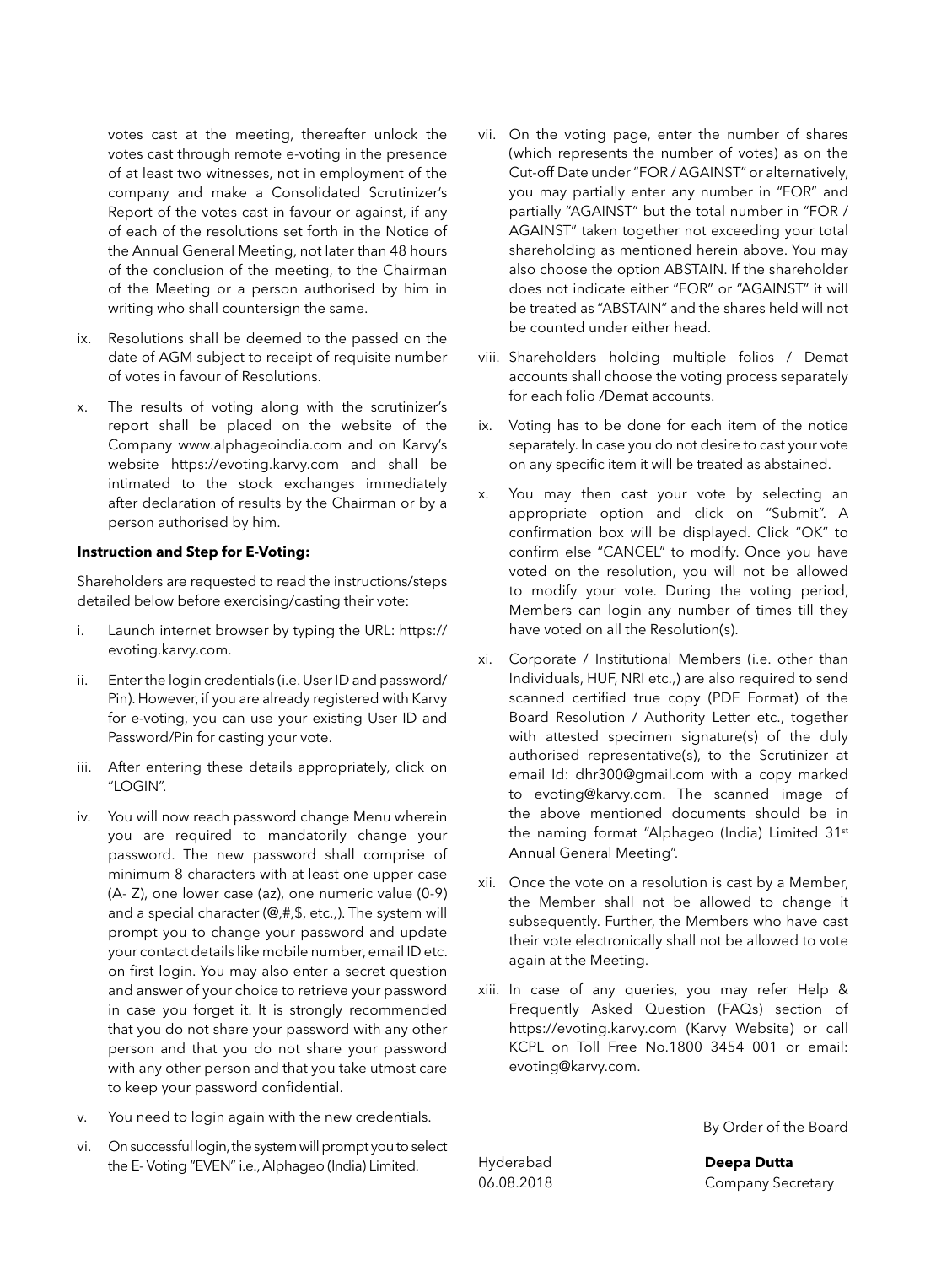votes cast at the meeting, thereafter unlock the votes cast through remote e-voting in the presence of at least two witnesses, not in employment of the company and make a Consolidated Scrutinizer's Report of the votes cast in favour or against, if any of each of the resolutions set forth in the Notice of the Annual General Meeting, not later than 48 hours of the conclusion of the meeting, to the Chairman of the Meeting or a person authorised by him in writing who shall countersign the same.

- ix. Resolutions shall be deemed to the passed on the date of AGM subject to receipt of requisite number of votes in favour of Resolutions.
- x. The results of voting along with the scrutinizer's report shall be placed on the website of the Company www.alphageoindia.com and on Karvy's website https://evoting.karvy.com and shall be intimated to the stock exchanges immediately after declaration of results by the Chairman or by a person authorised by him.

#### **Instruction and Step for E-Voting:**

Shareholders are requested to read the instructions/steps detailed below before exercising/casting their vote:

- i. Launch internet browser by typing the URL: https:// evoting.karvy.com.
- ii. Enter the login credentials (i.e. User ID and password/ Pin). However, if you are already registered with Karvy for e-voting, you can use your existing User ID and Password/Pin for casting your vote.
- iii. After entering these details appropriately, click on "LOGIN".
- iv. You will now reach password change Menu wherein you are required to mandatorily change your password. The new password shall comprise of minimum 8 characters with at least one upper case (A- Z), one lower case (az), one numeric value (0-9) and a special character (@,#,\$, etc.,). The system will prompt you to change your password and update your contact details like mobile number, email ID etc. on first login. You may also enter a secret question and answer of your choice to retrieve your password in case you forget it. It is strongly recommended that you do not share your password with any other person and that you do not share your password with any other person and that you take utmost care to keep your password confidential.
- v. You need to login again with the new credentials.
- vi. On successful login, the system will prompt you to select the E- Voting "EVEN" i.e., Alphageo (India) Limited.
- vii. On the voting page, enter the number of shares (which represents the number of votes) as on the Cut-off Date under "FOR / AGAINST" or alternatively, you may partially enter any number in "FOR" and partially "AGAINST" but the total number in "FOR / AGAINST" taken together not exceeding your total shareholding as mentioned herein above. You may also choose the option ABSTAIN. If the shareholder does not indicate either "FOR" or "AGAINST" it will be treated as "ABSTAIN" and the shares held will not be counted under either head.
- viii. Shareholders holding multiple folios / Demat accounts shall choose the voting process separately for each folio /Demat accounts.
- ix. Voting has to be done for each item of the notice separately. In case you do not desire to cast your vote on any specific item it will be treated as abstained.
- x. You may then cast your vote by selecting an appropriate option and click on "Submit". A confirmation box will be displayed. Click "OK" to confirm else "CANCEL" to modify. Once you have voted on the resolution, you will not be allowed to modify your vote. During the voting period, Members can login any number of times till they have voted on all the Resolution(s).
- xi. Corporate / Institutional Members (i.e. other than Individuals, HUF, NRI etc.,) are also required to send scanned certified true copy (PDF Format) of the Board Resolution / Authority Letter etc., together with attested specimen signature(s) of the duly authorised representative(s), to the Scrutinizer at email Id: dhr300@gmail.com with a copy marked to evoting@karvy.com. The scanned image of the above mentioned documents should be in the naming format "Alphageo (India) Limited 31st Annual General Meeting".
- xii. Once the vote on a resolution is cast by a Member, the Member shall not be allowed to change it subsequently. Further, the Members who have cast their vote electronically shall not be allowed to vote again at the Meeting.
- xiii. In case of any queries, you may refer Help & Frequently Asked Question (FAQs) section of https://evoting.karvy.com (Karvy Website) or call KCPL on Toll Free No.1800 3454 001 or email: evoting@karvy.com.

By Order of the Board

Hyderabad **Deepa Dutta** 06.08.2018 Company Secretary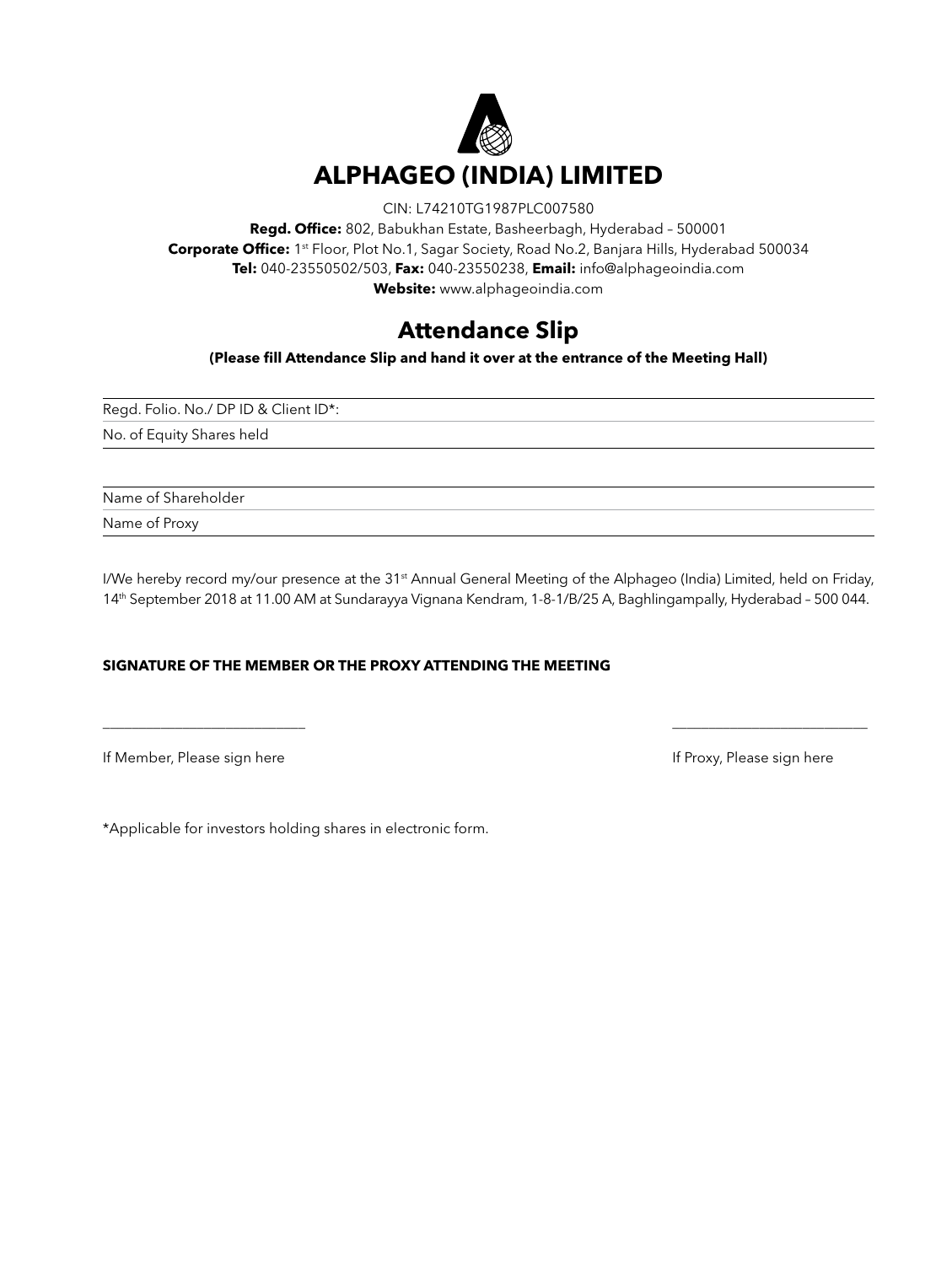

CIN: L74210TG1987PLC007580

**Regd. Office:** 802, Babukhan Estate, Basheerbagh, Hyderabad – 500001 Corporate Office: 1<sup>st</sup> Floor, Plot No.1, Sagar Society, Road No.2, Banjara Hills, Hyderabad 500034 **Tel:** 040-23550502/503, **Fax:** 040-23550238, **Email:** info@alphageoindia.com **Website:** www.alphageoindia.com

# **Attendance Slip**

**(Please fill Attendance Slip and hand it over at the entrance of the Meeting Hall)**

Regd. Folio. No./ DP ID & Client ID\*:

No. of Equity Shares held

Name of Shareholder

Name of Proxy

I/We hereby record my/our presence at the 31<sup>st</sup> Annual General Meeting of the Alphageo (India) Limited, held on Friday, 14th September 2018 at 11.00 AM at Sundarayya Vignana Kendram, 1-8-1/B/25 A, Baghlingampally, Hyderabad – 500 044.

\_\_\_\_\_\_\_\_\_\_\_\_\_\_\_\_\_\_\_\_\_\_\_\_\_\_\_\_ \_\_\_\_\_\_\_\_\_\_\_\_\_\_\_\_\_\_\_\_\_\_\_\_\_\_\_

### **SIGNATURE OF THE MEMBER OR THE PROXY ATTENDING THE MEETING**

If Member, Please sign here **If Proxy, Please sign here** If Proxy, Please sign here

\*Applicable for investors holding shares in electronic form.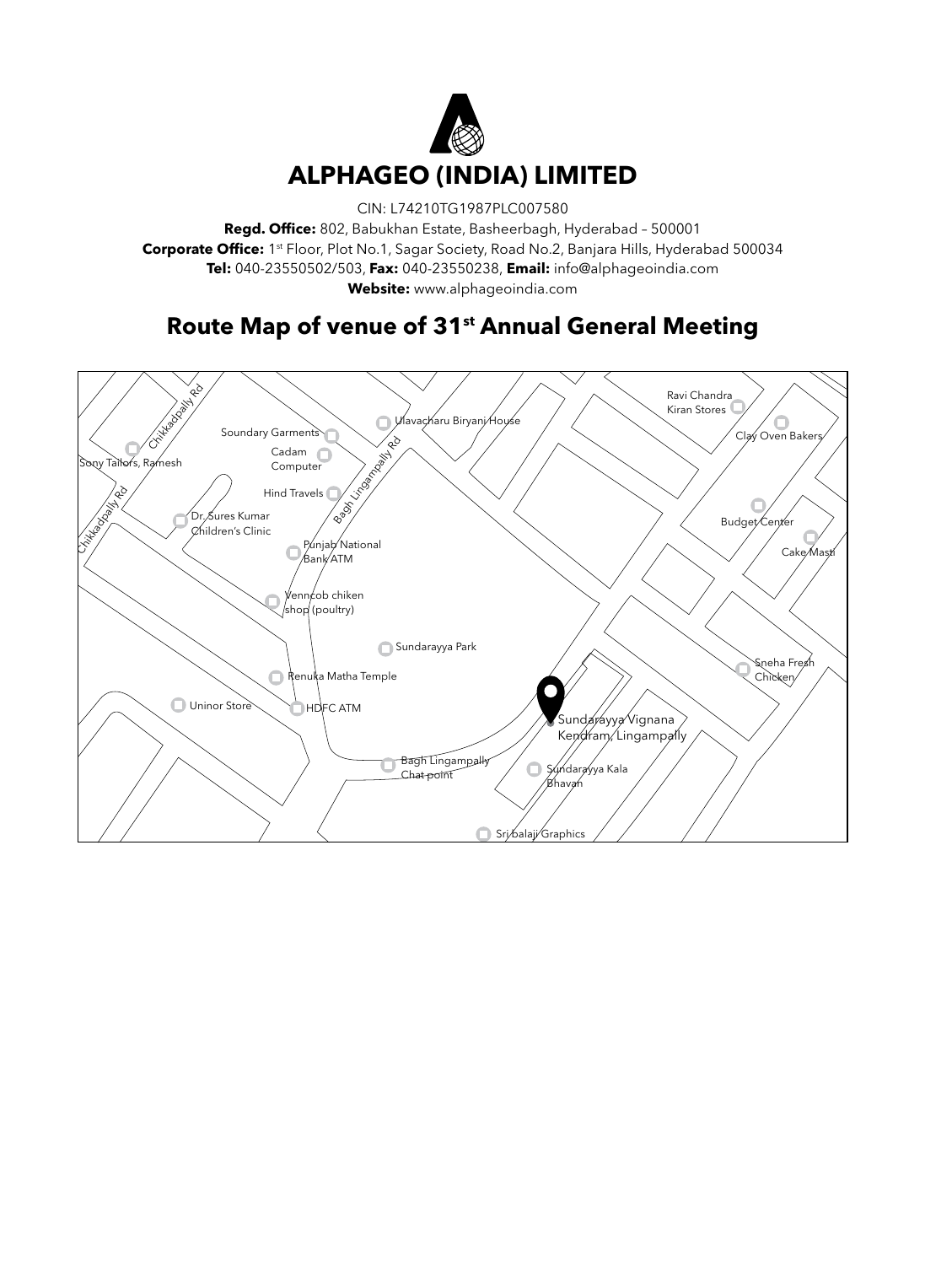

CIN: L74210TG1987PLC007580 **Regd. Office:** 802, Babukhan Estate, Basheerbagh, Hyderabad – 500001 Corporate Office: 1st Floor, Plot No.1, Sagar Society, Road No.2, Banjara Hills, Hyderabad 500034 **Tel:** 040-23550502/503, **Fax:** 040-23550238, **Email:** info@alphageoindia.com **Website:** www.alphageoindia.com

# **Route Map of venue of 31st Annual General Meeting**

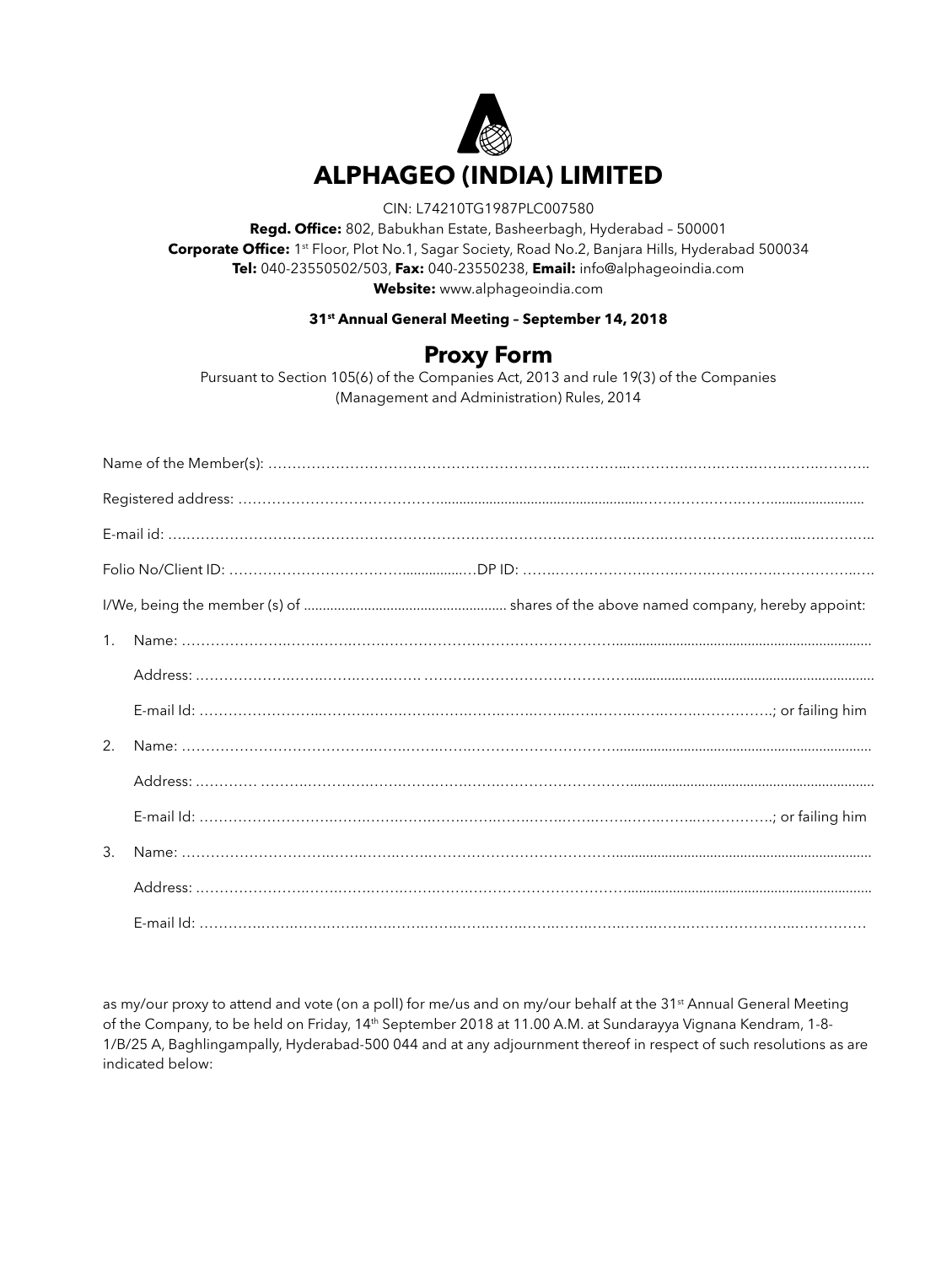

CIN: L74210TG1987PLC007580

**Regd. Office:** 802, Babukhan Estate, Basheerbagh, Hyderabad – 500001 Corporate Office: 1<sup>st</sup> Floor, Plot No.1, Sagar Society, Road No.2, Banjara Hills, Hyderabad 500034 **Tel:** 040-23550502/503, **Fax:** 040-23550238, **Email:** info@alphageoindia.com **Website:** www.alphageoindia.com

## **31st Annual General Meeting – September 14, 2018**

# **Proxy Form**

Pursuant to Section 105(6) of the Companies Act, 2013 and rule 19(3) of the Companies (Management and Administration) Rules, 2014

| $1_{\cdot}$           |  |  |  |  |  |  |
|-----------------------|--|--|--|--|--|--|
|                       |  |  |  |  |  |  |
|                       |  |  |  |  |  |  |
| $\mathcal{P}_{\cdot}$ |  |  |  |  |  |  |
|                       |  |  |  |  |  |  |
|                       |  |  |  |  |  |  |
| 3.                    |  |  |  |  |  |  |
|                       |  |  |  |  |  |  |
|                       |  |  |  |  |  |  |

as my/our proxy to attend and vote (on a poll) for me/us and on my/our behalf at the 31<sup>st</sup> Annual General Meeting of the Company, to be held on Friday, 14<sup>th</sup> September 2018 at 11.00 A.M. at Sundarayya Vignana Kendram, 1-8-1/B/25 A, Baghlingampally, Hyderabad-500 044 and at any adjournment thereof in respect of such resolutions as are indicated below: